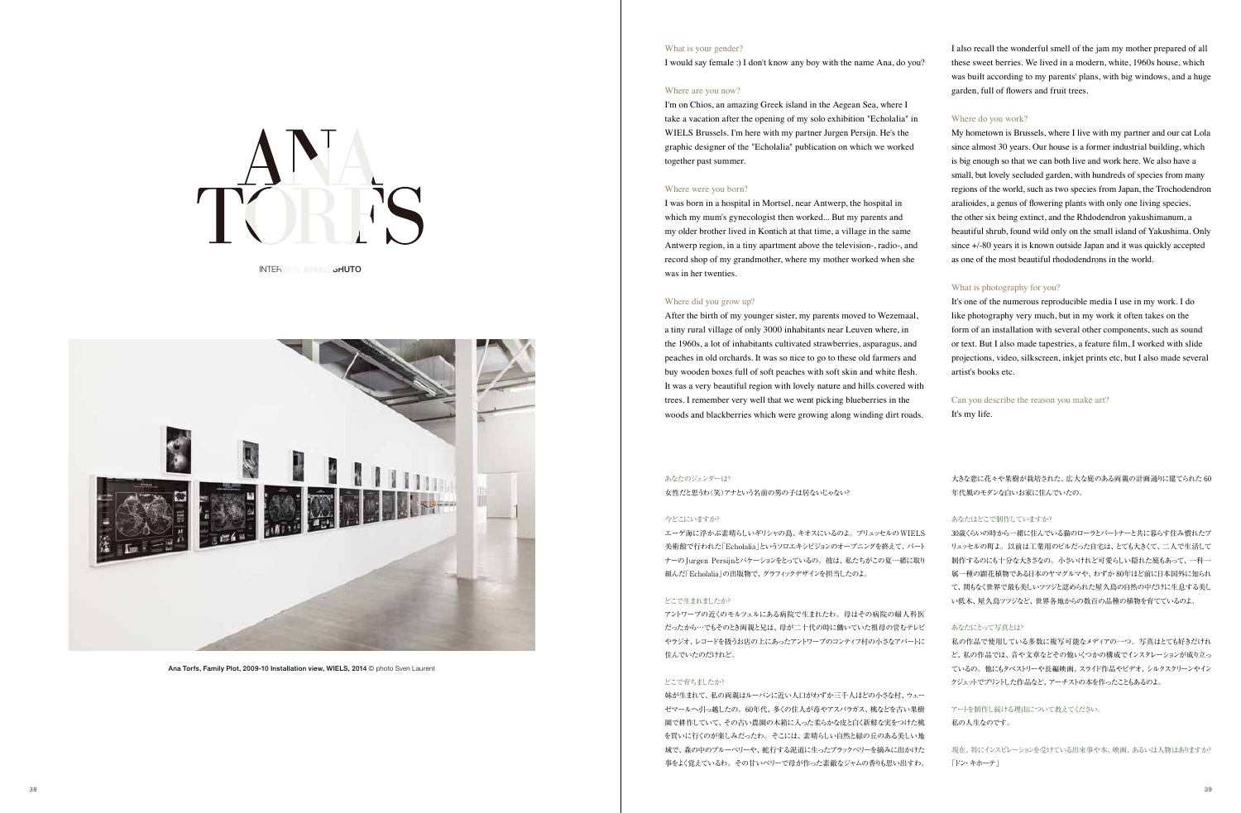I also recall the wonderful smell of the jam my mother prepared of all these sweet berries. We lived in a modern, white, 1960s house, which was built according to my parents' plans, with big windows, and a huge garden, full of flowers and fruit trees.

# Where do you work?

My hometown is Brussels, where I live with my partner and our cat Lola since almost 30 years. Our house is a former industrial building, which is big enough so that we can both live and work here. We also have a small, but lovely secluded garden, with hundreds of species from many regions of the world, such as two species from Japan, the Trochodendron aralioides, a genus of flowering plants with only one living species, the other six being extinct, and the Rhdodendron yakushimanum, a beautiful shrub, found wild only on the small island of Yakushima. Only since +/-80 years it is known outside Japan and it was quickly accepted as one of the most beautiful rhododendrons in the world.

# What is photography for you?

It's one of the numerous reproducible media I use in my work. I do like photography very much, but in my work it often takes on the form of an installation with several other components, such as sound or text. But I also made tapestries, a feature film, I worked with slide projections, video, silkscreen, inkjet prints etc, but I also made several artist's books etc.

Can you describe the reason you make art? It's my life.

I would say female :) I don't know any boy with the name Ana, do you?

#### Where are you now?

I'm on Chios, an amazing Greek island in the Aegean Sea, where I take a vacation after the opening of my solo exhibition "Echolalia" in WIELS Brussels. I'm here with my partner Jurgen Persijn. He's the graphic designer of the "Echolalia" publication on which we worked together past summer.

#### Where were you born?

I was born in a hospital in Mortsel, near Antwerp, the hospital in which my mum's gynecologist then worked... But my parents and my older brother lived in Kontich at that time, a village in the same Antwerp region, in a tiny apartment above the television-, radio-, and record shop of my grandmother, where my mother worked when she was in her twenties.

### Where did you grow up?

After the birth of my younger sister, my parents moved to Wezemaal, a tiny rural village of only 3000 inhabitants near Leuven where, in the 1960s, a lot of inhabitants cultivated strawberries, asparagus, and peaches in old orchards. It was so nice to go to these old farmers and buy wooden boxes full of soft peaches with soft skin and white flesh. It was a very beautiful region with lovely nature and hills covered with trees. I remember very well that we went picking blueberries in the woods and blackberries which were growing along winding dirt roads.

Ana Torfs, Family Plot, 2009-10 Installation view, WIELS, 2014 © photo Sven Laurent

#### What is your gender?



INTERVIEW AYAKO SHUTO



大きな窓に花々や果樹が栽培された、広大な庭のある両親の計画通りに建てられた 60 年代風のモダンな白いお家に住んでいたの。

# あなたはどこで制作していますか?

30歳くらいの時から一緒に住んでいる猫のローラとパートナーと共に暮らす住み慣れたブ リュッセルの町よ。以前は工業用のビルだった自宅は、とても大きくて、二人で生活して 制作するのにも十分な大きさなの。小さいけれど可愛らしい隠れた庭もあって、一科一 属一種の顕花植物である日本のヤマグルマや、わずか 80年ほど前に日本国外に知られ て、間もなく世界で最も美しいツツジと認められた屋久島の自然の中だけに生息する美し い低木、屋久島ツツジなど、世界各地からの数百の品種の植物を育てているのよ。

# あなたにとって写真とは?

私の作品で使用している多数に複写可能なメディアの一つ。写真はとても好きだけれ ど、私の作品では、音や文章などその他いくつかの構成でインスタレーションが成り立っ ているの。他にもタペストリーや長編映画、スライド作品やビデオ、シルクスクリーンやイン クジェットでプリントした作品など、アーチストの本を作ったこともあるのよ。

アートを制作し続ける理由について教えてください。 私の人生なのです。

現在、特にインスピレーションを受けている出来事や本、映画、あるいは人物はありますか? 「ドン・キホーテ」

#### あなたのジェンダーは?

女性だと思うわ(笑)アナという名前の男の子は居ないじゃない?

#### 今どこにいますか?

エーゲ海に浮かぶ素晴らしいギリシャの島、キオスにいるのよ。ブリュッセルのWIELS 美術館で行われた「Echolalia」というソロエキシビジョンのオープニングを終えて、パート ナーのJurgen Persijnとバケーションをとっているの。彼は、私たちがこの夏一緒に取り 組んだ「Echolalia」の出版物で、グラフィックデザインを担当したのよ。

### どこで生まれましたか?

アントワープの近くのモルツェルにある病院で生まれたわ。母はその病院の婦人科医 だったから…でもそのとき両親と兄は、母が二十代の時に働いていた祖母の営むテレビ やラジオ、レコードを扱うお店の上にあったアントワープのコンティフ村の小さなアパートに 住んでいたのだけれど。

#### どこで育ちましたか?

妹が生まれて、私の両親はルーバンに近い人口がわずか三千人ほどの小さな村、ウェー ゼマールへ引っ越したの。60年代、多くの住人が苺やアスパラガス、桃などを古い果樹 園で耕作していて、その古い農園の木箱に入った柔らかな皮と白く新鮮な実をつけた桃 を買いに行くのが楽しみだったわ。そこには、素晴らしい自然と緑の丘のある美しい地 域で、森の中のブルーベリーや、蛇行する泥道に生ったブラックベリーを摘みに出かけた 事をよく覚えているわ。その甘いベリーで母が作った素敵なジャムの香りも思い出すわ。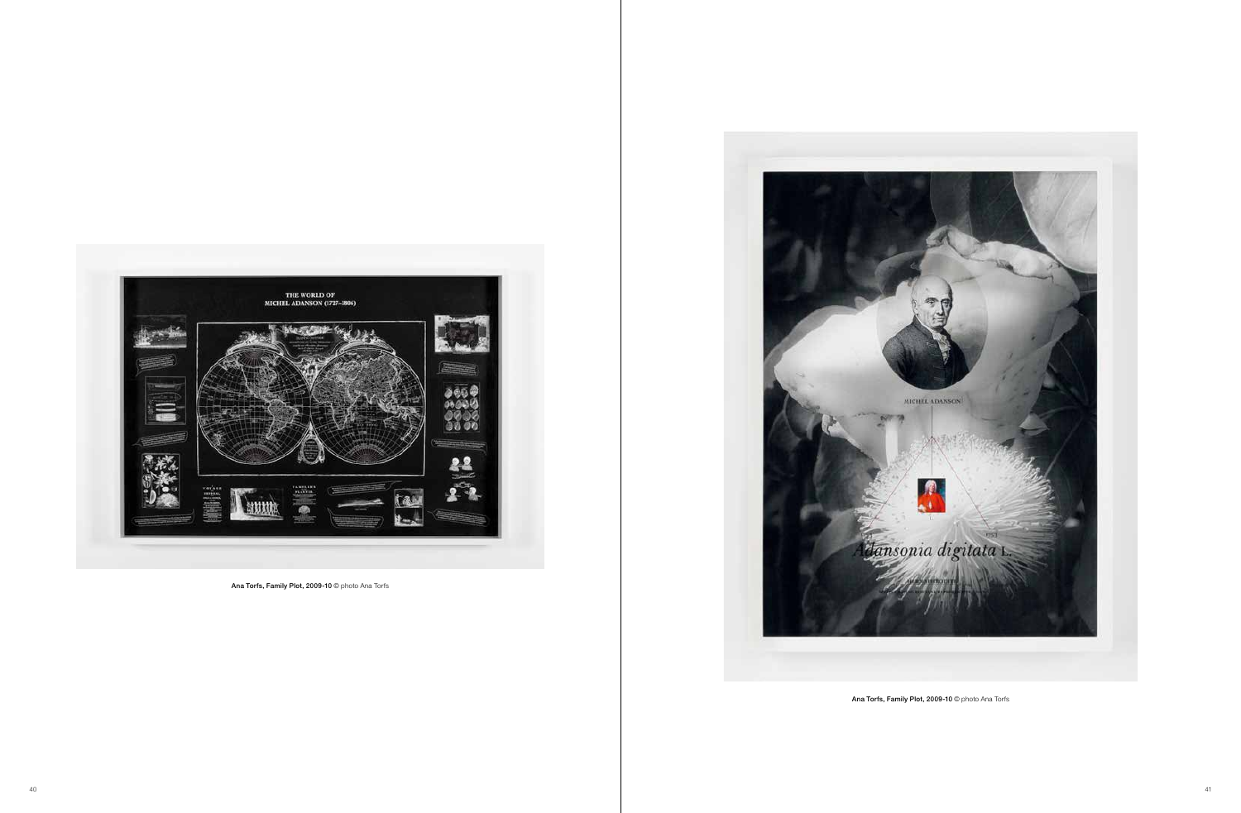

Ana Torfs, Family Plot, 2009-10 © photo Ana Torfs



Ana Torfs, Family Plot, 2009-10 @ photo Ana Torfs